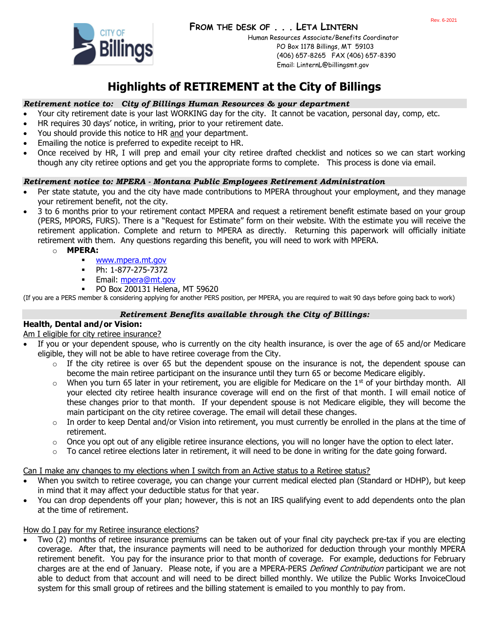

Human Resources Associate/Benefits Coordinator PO Box 1178 Billings, MT 59103 (406) 657-8265 FAX (406) 657-8390 Email: LinternL@billingsmt.gov

# **Highlights of RETIREMENT at the City of Billings**

### *Retirement notice to: City of Billings Human Resources & your department*

- Your city retirement date is your last WORKING day for the city. It cannot be vacation, personal day, comp, etc.
- HR requires 30 days' notice, in writing, prior to your retirement date.
- You should provide this notice to HR and your department.
- Emailing the notice is preferred to expedite receipt to HR.
- Once received by HR, I will prep and email your city retiree drafted checklist and notices so we can start working though any city retiree options and get you the appropriate forms to complete. This process is done via email.

#### *Retirement notice to: MPERA - Montana Public Employees Retirement Administration*

- Per state statute, you and the city have made contributions to MPERA throughout your employment, and they manage your retirement benefit, not the city.
- 3 to 6 months prior to your retirement contact MPERA and request a retirement benefit estimate based on your group (PERS, MPORS, FURS). There is a "Request for Estimate" form on their website. With the estimate you will receive the retirement application. Complete and return to MPERA as directly. Returning this paperwork will officially initiate retirement with them. Any questions regarding this benefit, you will need to work with MPERA.
	- o **MPERA:**
		- [www.mpera.mt.gov](http://www.mpera.mt.gov/)
		- Ph: 1-877-275-7372
		- **Email: [mpera@mt.gov](mailto:mpera@mt.gov)**
		- PO Box 200131 Helena, MT 59620

(If you are a PERS member & considering applying for another PERS position, per MPERA, you are required to wait 90 days before going back to work)

#### *Retirement Benefits available through the City of Billings:*

### **Health, Dental and/or Vision:**

Am I eligible for city retiree insurance?

- If you or your dependent spouse, who is currently on the city health insurance, is over the age of 65 and/or Medicare eligible, they will not be able to have retiree coverage from the City.
	- $\circ$  If the city retiree is over 65 but the dependent spouse on the insurance is not, the dependent spouse can become the main retiree participant on the insurance until they turn 65 or become Medicare eligibly.
	- $\circ$  When you turn 65 later in your retirement, you are eligible for Medicare on the 1<sup>st</sup> of your birthday month. All your elected city retiree health insurance coverage will end on the first of that month. I will email notice of these changes prior to that month. If your dependent spouse is not Medicare eligible, they will become the main participant on the city retiree coverage. The email will detail these changes.
	- $\circ$  In order to keep Dental and/or Vision into retirement, you must currently be enrolled in the plans at the time of retirement.
	- $\circ$  Once you opt out of any eligible retiree insurance elections, you will no longer have the option to elect later.
	- $\circ$  To cancel retiree elections later in retirement, it will need to be done in writing for the date going forward.

Can I make any changes to my elections when I switch from an Active status to a Retiree status?

- When you switch to retiree coverage, you can change your current medical elected plan (Standard or HDHP), but keep in mind that it may affect your deductible status for that year.
- You can drop dependents off your plan; however, this is not an IRS qualifying event to add dependents onto the plan at the time of retirement.

#### How do I pay for my Retiree insurance elections?

• Two (2) months of retiree insurance premiums can be taken out of your final city paycheck pre-tax if you are electing coverage. After that, the insurance payments will need to be authorized for deduction through your monthly MPERA retirement benefit. You pay for the insurance prior to that month of coverage. For example, deductions for February charges are at the end of January. Please note, if you are a MPERA-PERS Defined Contribution participant we are not able to deduct from that account and will need to be direct billed monthly. We utilize the Public Works InvoiceCloud system for this small group of retirees and the billing statement is emailed to you monthly to pay from.